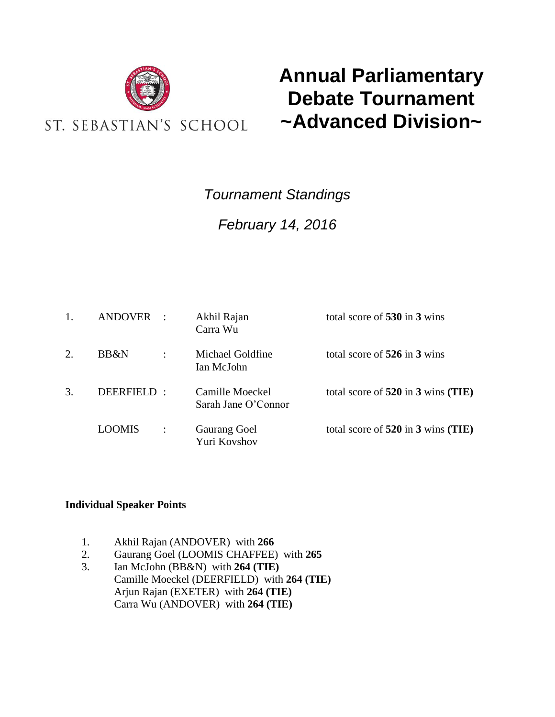

# **Annual Parliamentary Debate Tournament ~Advanced Division~**

## *Tournament Standings*

## *February 14, 2016*

|    | <b>ANDOVER</b> |                | Akhil Rajan<br>Carra Wu                | total score of 530 in 3 wins       |
|----|----------------|----------------|----------------------------------------|------------------------------------|
| 2. | BB&N           | $\ddot{\cdot}$ | Michael Goldfine<br>Ian McJohn         | total score of 526 in 3 wins       |
| 3. | DEERFIELD:     |                | Camille Moeckel<br>Sarah Jane O'Connor | total score of 520 in 3 wins (TIE) |
|    | LOOMIS         |                | <b>Gaurang Goel</b><br>Yuri Kovshov    | total score of 520 in 3 wins (TIE) |

### **Individual Speaker Points**

- 1. Akhil Rajan (ANDOVER) with **266**
- 2. Gaurang Goel (LOOMIS CHAFFEE) with **265**
- 3. Ian McJohn (BB&N) with **264 (TIE)** Camille Moeckel (DEERFIELD) with **264 (TIE)** Arjun Rajan (EXETER) with **264 (TIE)** Carra Wu (ANDOVER) with **264 (TIE)**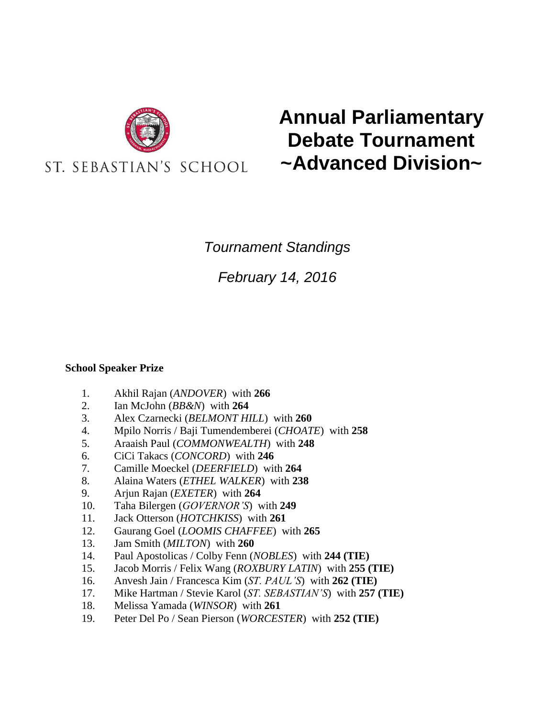

# **Annual Parliamentary Debate Tournament ~Advanced Division~**

### *Tournament Standings*

*February 14, 2016*

### **School Speaker Prize**

- 1. Akhil Rajan (*ANDOVER*) with **266**
- 2. Ian McJohn (*BB&N*) with **264**
- 3. Alex Czarnecki (*BELMONT HILL*) with **260**
- 4. Mpilo Norris / Baji Tumendemberei (*CHOATE*) with **258**
- 5. Araaish Paul (*COMMONWEALTH*) with **248**
- 6. CiCi Takacs (*CONCORD*) with **246**
- 7. Camille Moeckel (*DEERFIELD*) with **264**
- 8. Alaina Waters (*ETHEL WALKER*) with **238**
- 9. Arjun Rajan (*EXETER*) with **264**
- 10. Taha Bilergen (*GOVERNOR'S*) with **249**
- 11. Jack Otterson (*HOTCHKISS*) with **261**
- 12. Gaurang Goel (*LOOMIS CHAFFEE*) with **265**
- 13. Jam Smith (*MILTON*) with **260**
- 14. Paul Apostolicas / Colby Fenn (*NOBLES*) with **244 (TIE)**
- 15. Jacob Morris / Felix Wang (*ROXBURY LATIN*) with **255 (TIE)**
- 16. Anvesh Jain / Francesca Kim (*ST. PAUL'S*) with **262 (TIE)**
- 17. Mike Hartman / Stevie Karol (*ST. SEBASTIAN'S*) with **257 (TIE)**
- 18. Melissa Yamada (*WINSOR*) with **261**
- 19. Peter Del Po / Sean Pierson (*WORCESTER*) with **252 (TIE)**